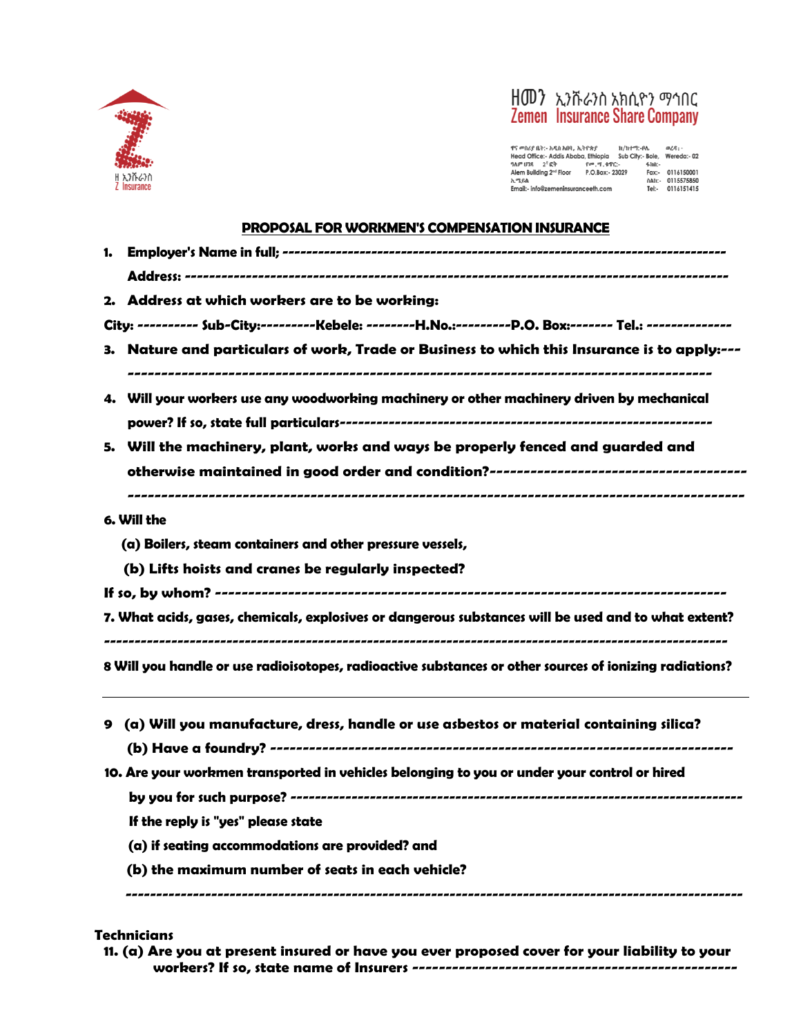



 $\begin{tabular}{lllllllllllll} $\ ^{q\, c}\!\! \mathfrak{m}\!\! \mathfrak{m}\!\! \mathfrak{m}\!\! \mathfrak{m}\!\! \mathfrak{m}\!\! \mathfrak{m}\!\! \mathfrak{m}\!\! \mathfrak{m}\!\! \mathfrak{m}\!\! \mathfrak{m}\!\! \mathfrak{m}\!\! \mathfrak{m}\!\! \mathfrak{m}\!\! \mathfrak{m}\!\! \mathfrak{m}\!\! \mathfrak{m}\!\! \mathfrak{m}\!\! \mathfrak{m}\!\! \mathfrak{m}\!\! \mathfrak{m}\!\! \mathfrak{m}\!\! \mathfrak{m}\$ 

#### **PROPOSAL FOR WORKMEN'S COMPENSATION INSURANCE**

| 2. Address at which workers are to be working:                                                          |  |  |  |  |  |  |
|---------------------------------------------------------------------------------------------------------|--|--|--|--|--|--|
| City: ---------- Sub-City:---------Kebele: --------H.No.:---------P.O. Box:------- Tel.: -------------- |  |  |  |  |  |  |
| 3. Nature and particulars of work, Trade or Business to which this Insurance is to apply:---            |  |  |  |  |  |  |
| 4. Will your workers use any woodworking machinery or other machinery driven by mechanical              |  |  |  |  |  |  |
|                                                                                                         |  |  |  |  |  |  |
| 5. Will the machinery, plant, works and ways be properly fenced and guarded and                         |  |  |  |  |  |  |
|                                                                                                         |  |  |  |  |  |  |
|                                                                                                         |  |  |  |  |  |  |
| 6. Will the                                                                                             |  |  |  |  |  |  |
| (a) Boilers, steam containers and other pressure vessels,                                               |  |  |  |  |  |  |
| (b) Lifts hoists and cranes be regularly inspected?                                                     |  |  |  |  |  |  |
|                                                                                                         |  |  |  |  |  |  |
| 7. What acids, gases, chemicals, explosives or dangerous substances will be used and to what extent?    |  |  |  |  |  |  |
|                                                                                                         |  |  |  |  |  |  |
| 8 Will you handle or use radioisotopes, radioactive substances or other sources of ionizing radiations? |  |  |  |  |  |  |
| 9 (a) Will you manufacture, dress, handle or use asbestos or material containing silica?                |  |  |  |  |  |  |
| 10. Are your workmen transported in vehicles belonging to you or under your control or hired            |  |  |  |  |  |  |
|                                                                                                         |  |  |  |  |  |  |
| If the reply is "yes" please state                                                                      |  |  |  |  |  |  |
| (a) if seating accommodations are provided? and                                                         |  |  |  |  |  |  |
| (b) the maximum number of seats in each vehicle?                                                        |  |  |  |  |  |  |
|                                                                                                         |  |  |  |  |  |  |

# **Technicians**

**11. (a) Are you at present insured or have you ever proposed cover for your liability to your workers? If so, state name of Insurers -------------------------------------------------**